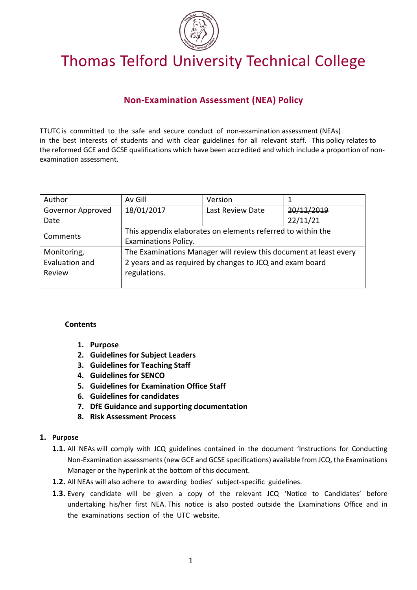

# Thomas Telford University Technical College

# **Non-Examination Assessment (NEA) Policy**

TTUTC is committed to the safe and secure conduct of non-examination assessment (NEAs) in the best interests of students and with clear guidelines for all relevant staff. This policy relates to the reformed GCE and GCSE qualifications which have been accredited and which include a proportion of nonexamination assessment.

| Author            | Av Gill                                                           | Version          |            |  |
|-------------------|-------------------------------------------------------------------|------------------|------------|--|
| Governor Approved | 18/01/2017                                                        | Last Review Date | 20/12/2019 |  |
| Date              |                                                                   |                  | 22/11/21   |  |
| Comments          | This appendix elaborates on elements referred to within the       |                  |            |  |
|                   | <b>Examinations Policy.</b>                                       |                  |            |  |
| Monitoring,       | The Examinations Manager will review this document at least every |                  |            |  |
| Evaluation and    | 2 years and as required by changes to JCQ and exam board          |                  |            |  |
| Review            | regulations.                                                      |                  |            |  |
|                   |                                                                   |                  |            |  |

#### **Contents**

- **1. Purpose**
- **2. Guidelines for Subject Leaders**
- **3. Guidelines for Teaching Staff**
- **4. Guidelines for SENCO**
- **5. Guidelines for Examination Office Staff**
- **6. Guidelines for candidates**
- **7. DfE Guidance and supporting documentation**
- **8. Risk Assessment Process**

#### **1. Purpose**

- **1.1.** All NEAs will comply with JCQ guidelines contained in the document 'Instructions for Conducting Non-Examination assessments (new GCE and GCSE specifications) available from JCQ, the Examinations Manager or the hyperlink at the bottom of this document.
- **1.2.** All NEAs will also adhere to awarding bodies' subject-specific guidelines.
- **1.3.** Every candidate will be given a copy of the relevant JCQ 'Notice to Candidates' before undertaking his/her first NEA. This notice is also posted outside the Examinations Office and in the examinations section of the UTC website.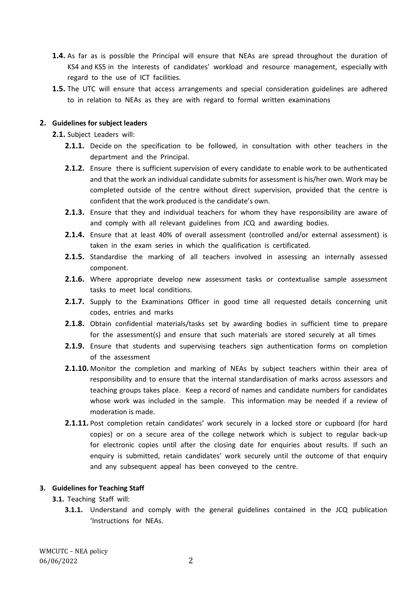- **1.4.** As far as is possible the Principal will ensure that NEAs are spread throughout the duration of KS4 and KS5 in the interests of candidates' workload and resource management, especially with regard to the use of ICT facilities.
- **1.5.** The UTC will ensure that access arrangements and special consideration guidelines are adhered to in relation to NEAs as they are with regard to formal written examinations

#### **2. Guidelines for subject leaders**

**2.1.** Subject Leaders will:

- **2.1.1.** Decide on the specification to be followed, in consultation with other teachers in the department and the Principal.
- **2.1.2.** Ensure there is sufficient supervision of every candidate to enable work to be authenticated and that the work an individual candidate submits for assessment is his/her own. Work may be completed outside of the centre without direct supervision, provided that the centre is confident that the work produced is the candidate's own.
- **2.1.3.** Ensure that they and individual teachers for whom they have responsibility are aware of and comply with all relevant guidelines from JCQ and awarding bodies.
- **2.1.4.** Ensure that at least 40% of overall assessment (controlled and/or external assessment) is taken in the exam series in which the qualification is certificated.
- **2.1.5.** Standardise the marking of all teachers involved in assessing an internally assessed component.
- **2.1.6.** Where appropriate develop new assessment tasks or contextualise sample assessment tasks to meet local conditions.
- **2.1.7.** Supply to the Examinations Officer in good time all requested details concerning unit codes, entries and marks
- **2.1.8.** Obtain confidential materials/tasks set by awarding bodies in sufficient time to prepare for the assessment(s) and ensure that such materials are stored securely at all times
- **2.1.9.** Ensure that students and supervising teachers sign authentication forms on completion of the assessment
- **2.1.10.** Monitor the completion and marking of NEAs by subject teachers within their area of responsibility and to ensure that the internal standardisation of marks across assessors and teaching groups takes place. Keep a record of names and candidate numbers for candidates whose work was included in the sample. This information may be needed if a review of moderation is made.
- 2.1.11. Post completion retain candidates' work securely in a locked store or cupboard (for hard copies) or on a secure area of the college network which is subject to regular back-up for electronic copies until after the closing date for enquiries about results. If such an enquiry is submitted, retain candidates' work securely until the outcome of that enquiry and any subsequent appeal has been conveyed to the centre.

#### **3. Guidelines for Teaching Staff**

**3.1.** Teaching Staff will:

**3.1.1.** Understand and comply with the general guidelines contained in the JCQ publication 'Instructions for NEAs.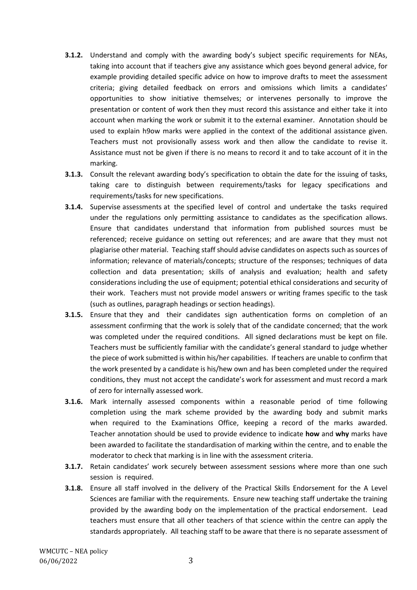- **3.1.2.** Understand and comply with the awarding body's subject specific requirements for NEAs, taking into account that if teachers give any assistance which goes beyond general advice, for example providing detailed specific advice on how to improve drafts to meet the assessment criteria; giving detailed feedback on errors and omissions which limits a candidates' opportunities to show initiative themselves; or intervenes personally to improve the presentation or content of work then they must record this assistance and either take it into account when marking the work or submit it to the external examiner. Annotation should be used to explain h9ow marks were applied in the context of the additional assistance given. Teachers must not provisionally assess work and then allow the candidate to revise it. Assistance must not be given if there is no means to record it and to take account of it in the marking.
- **3.1.3.** Consult the relevant awarding body's specification to obtain the date for the issuing of tasks, taking care to distinguish between requirements/tasks for legacy specifications and requirements/tasks for new specifications.
- **3.1.4.** Supervise assessments at the specified level of control and undertake the tasks required under the regulations only permitting assistance to candidates as the specification allows. Ensure that candidates understand that information from published sources must be referenced; receive guidance on setting out references; and are aware that they must not plagiarise other material. Teaching staff should advise candidates on aspects such as sources of information; relevance of materials/concepts; structure of the responses; techniques of data collection and data presentation; skills of analysis and evaluation; health and safety considerations including the use of equipment; potential ethical considerations and security of their work. Teachers must not provide model answers or writing frames specific to the task (such as outlines, paragraph headings or section headings).
- **3.1.5.** Ensure that they and their candidates sign authentication forms on completion of an assessment confirming that the work is solely that of the candidate concerned; that the work was completed under the required conditions. All signed declarations must be kept on file. Teachers must be sufficiently familiar with the candidate's general standard to judge whether the piece of work submitted is within his/her capabilities. If teachers are unable to confirm that the work presented by a candidate is his/hew own and has been completed under the required conditions, they must not accept the candidate's work for assessment and must record a mark of zero for internally assessed work.
- **3.1.6.** Mark internally assessed components within a reasonable period of time following completion using the mark scheme provided by the awarding body and submit marks when required to the Examinations Office, keeping a record of the marks awarded. Teacher annotation should be used to provide evidence to indicate **how** and **why** marks have been awarded to facilitate the standardisation of marking within the centre, and to enable the moderator to check that marking is in line with the assessment criteria.
- **3.1.7.** Retain candidates' work securely between assessment sessions where more than one such session is required.
- **3.1.8.** Ensure all staff involved in the delivery of the Practical Skills Endorsement for the A Level Sciences are familiar with the requirements. Ensure new teaching staff undertake the training provided by the awarding body on the implementation of the practical endorsement. Lead teachers must ensure that all other teachers of that science within the centre can apply the standards appropriately. All teaching staff to be aware that there is no separate assessment of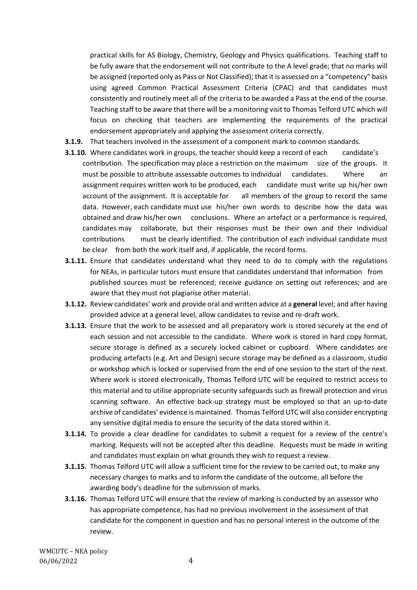practical skills for AS Biology, Chemistry, Geology and Physics qualifications. Teaching staff to be fully aware that the endorsement will not contribute to the A level grade; that no marks will be assigned (reported only as Pass or Not Classified); that it is assessed on a "competency" basis using agreed Common Practical Assessment Criteria (CPAC) and that candidates must consistently and routinely meet all of the criteria to be awarded a Pass at the end of the course. Teaching staff to be aware that there will be a monitoring visit to Thomas Telford UTC which will focus on checking that teachers are implementing the requirements of the practical endorsement appropriately and applying the assessment criteria correctly.

- **3.1.9.** That teachers involved in the assessment of a component mark to common standards.
- **3.1.10.** Where candidates work in groups, the teacher should keep a record of each candidate's contribution. The specification may place a restriction on the maximum size of the groups. It must be possible to attribute assessable outcomes to individual candidates. Where an assignment requires written work to be produced, each candidate must write up his/her own account of the assignment. It is acceptable for all members of the group to record the same data. However, each candidate must use his/her own words to describe how the data was obtained and draw his/her own conclusions. Where an artefact or a performance is required, candidates may collaborate, but their responses must be their own and their individual contributions must be clearly identified. The contribution of each individual candidate must be clear from both the work itself and, if applicable, the record forms.
- **3.1.11.** Ensure that candidates understand what they need to do to comply with the regulations for NEAs, in particular tutors must ensure that candidates understand that information from published sources must be referenced; receive guidance on setting out references; and are aware that they must not plagiarise other material.
- **3.1.12.** Review candidates' work and provide oral and written advice at a **general** level; and after having provided advice at a general level, allow candidates to revise and re-draft work.
- **3.1.13.** Ensure that the work to be assessed and all preparatory work is stored securely at the end of each session and not accessible to the candidate. Where work is stored in hard copy format, secure storage is defined as a securely locked cabinet or cupboard. Where candidates are producing artefacts (e.g. Art and Design) secure storage may be defined as a classroom, studio or workshop which is locked or supervised from the end of one session to the start of the next. Where work is stored electronically, Thomas Telford UTC will be required to restrict access to this material and to utilise appropriate security safeguards such as firewall protection and virus scanning software. An effective back-up strategy must be employed so that an up-to-date archive of candidates' evidence is maintained. Thomas Telford UTC will also consider encrypting any sensitive digital media to ensure the security of the data stored within it.
- **3.1.14.** To provide a clear deadline for candidates to submit a request for a review of the centre's marking. Requests will not be accepted after this deadline. Requests must be made in writing and candidates must explain on what grounds they wish to request a review.
- **3.1.15.** Thomas Telford UTC will allow a sufficient time for the review to be carried out, to make any necessary changes to marks and to inform the candidate of the outcome, all before the awarding body's deadline for the submission of marks.
- **3.1.16.** Thomas Telford UTC will ensure that the review of marking is conducted by an assessor who has appropriate competence, has had no previous involvement in the assessment of that candidate for the component in question and has no personal interest in the outcome of the review.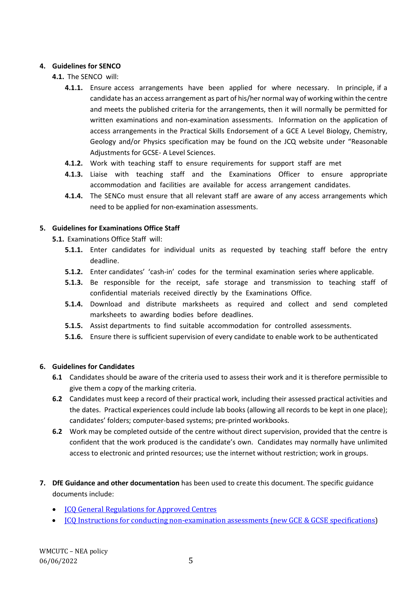#### **4. Guidelines for SENCO**

- **4.1.** The SENCO will:
	- **4.1.1.** Ensure access arrangements have been applied for where necessary. In principle, if a candidate has an access arrangement as part of his/her normal way of working within the centre and meets the published criteria for the arrangements, then it will normally be permitted for written examinations and non-examination assessments. Information on the application of access arrangements in the Practical Skills Endorsement of a GCE A Level Biology, Chemistry, Geology and/or Physics specification may be found on the JCQ website under "Reasonable Adjustments for GCSE- A Level Sciences.
	- **4.1.2.** Work with teaching staff to ensure requirements for support staff are met
	- **4.1.3.** Liaise with teaching staff and the Examinations Officer to ensure appropriate accommodation and facilities are available for access arrangement candidates.
	- **4.1.4.** The SENCo must ensure that all relevant staff are aware of any access arrangements which need to be applied for non-examination assessments.

#### **5. Guidelines for Examinations Office Staff**

- **5.1.** Examinations Office Staff will:
	- **5.1.1.** Enter candidates for individual units as requested by teaching staff before the entry deadline.
	- **5.1.2.** Enter candidates' 'cash-in' codes for the terminal examination series where applicable.
	- **5.1.3.** Be responsible for the receipt, safe storage and transmission to teaching staff of confidential materials received directly by the Examinations Office.
	- **5.1.4.** Download and distribute marksheets as required and collect and send completed marksheets to awarding bodies before deadlines.
	- **5.1.5.** Assist departments to find suitable accommodation for controlled assessments.
	- **5.1.6.** Ensure there is sufficient supervision of every candidate to enable work to be authenticated

#### **6. Guidelines for Candidates**

- **6.1** Candidates should be aware of the criteria used to assess their work and it is therefore permissible to give them a copy of the marking criteria.
- **6.2** Candidates must keep a record of their practical work, including their assessed practical activities and the dates. Practical experiences could include lab books (allowing all records to be kept in one place); candidates' folders; computer-based systems; pre-printed workbooks.
- **6.2** Work may be completed outside of the centre without direct supervision, provided that the centre is confident that the work produced is the candidate's own. Candidates may normally have unlimited access to electronic and printed resources; use the internet without restriction; work in groups.
- **7. DfE Guidance and other documentation** has been used to create this document. The specific guidance documents include:
	- [JCQ General Regulations for Approved Centres](https://www.jcq.org.uk/exams-office/general-regulations/)
	- ICO Instructions for conducting non-examination assessments (new GCE & GCSE specifications)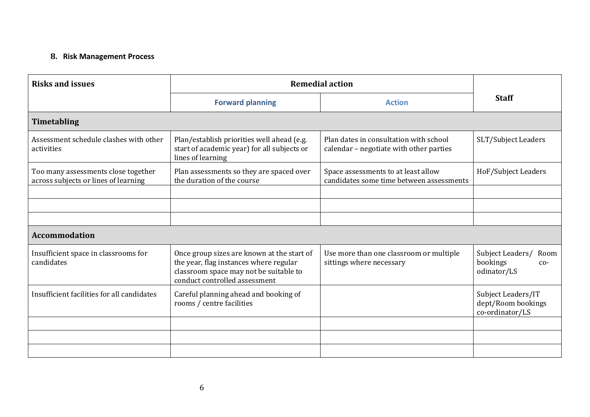# **8. Risk Management Process**

| <b>Risks and issues</b>                                                     | <b>Remedial action</b>                                                                                                                                          |                                                                                   |                                                              |
|-----------------------------------------------------------------------------|-----------------------------------------------------------------------------------------------------------------------------------------------------------------|-----------------------------------------------------------------------------------|--------------------------------------------------------------|
|                                                                             | <b>Forward planning</b>                                                                                                                                         | <b>Action</b>                                                                     | <b>Staff</b>                                                 |
| <b>Timetabling</b>                                                          |                                                                                                                                                                 |                                                                                   |                                                              |
| Assessment schedule clashes with other<br>activities                        | Plan/establish priorities well ahead (e.g.<br>start of academic year) for all subjects or<br>lines of learning                                                  | Plan dates in consultation with school<br>calendar - negotiate with other parties | SLT/Subject Leaders                                          |
| Too many assessments close together<br>across subjects or lines of learning | Plan assessments so they are spaced over<br>the duration of the course                                                                                          | Space assessments to at least allow<br>candidates some time between assessments   | HoF/Subject Leaders                                          |
|                                                                             |                                                                                                                                                                 |                                                                                   |                                                              |
|                                                                             |                                                                                                                                                                 |                                                                                   |                                                              |
| <b>Accommodation</b>                                                        |                                                                                                                                                                 |                                                                                   |                                                              |
| Insufficient space in classrooms for<br>candidates                          | Once group sizes are known at the start of<br>the year, flag instances where regular<br>classroom space may not be suitable to<br>conduct controlled assessment | Use more than one classroom or multiple<br>sittings where necessary               | Subject Leaders/<br>Room<br>bookings<br>$CO-$<br>odinator/LS |
| Insufficient facilities for all candidates                                  | Careful planning ahead and booking of<br>rooms / centre facilities                                                                                              |                                                                                   | Subject Leaders/IT<br>dept/Room bookings<br>co-ordinator/LS  |
|                                                                             |                                                                                                                                                                 |                                                                                   |                                                              |
|                                                                             |                                                                                                                                                                 |                                                                                   |                                                              |
|                                                                             |                                                                                                                                                                 |                                                                                   |                                                              |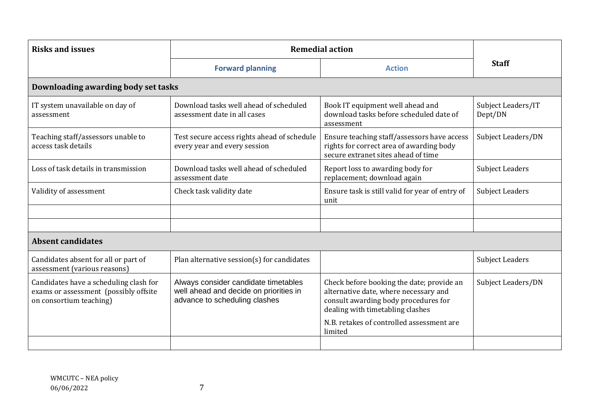| <b>Risks and issues</b>                                                                                    | <b>Remedial action</b>                                                                                          |                                                                                                                                                                                                                        |                               |
|------------------------------------------------------------------------------------------------------------|-----------------------------------------------------------------------------------------------------------------|------------------------------------------------------------------------------------------------------------------------------------------------------------------------------------------------------------------------|-------------------------------|
|                                                                                                            | <b>Forward planning</b>                                                                                         | <b>Action</b>                                                                                                                                                                                                          | <b>Staff</b>                  |
| Downloading awarding body set tasks                                                                        |                                                                                                                 |                                                                                                                                                                                                                        |                               |
| IT system unavailable on day of<br>assessment                                                              | Download tasks well ahead of scheduled<br>assessment date in all cases                                          | Book IT equipment well ahead and<br>download tasks before scheduled date of<br>assessment                                                                                                                              | Subject Leaders/IT<br>Dept/DN |
| Teaching staff/assessors unable to<br>access task details                                                  | Test secure access rights ahead of schedule<br>every year and every session                                     | Ensure teaching staff/assessors have access<br>rights for correct area of awarding body<br>secure extranet sites ahead of time                                                                                         | Subject Leaders/DN            |
| Loss of task details in transmission                                                                       | Download tasks well ahead of scheduled<br>assessment date                                                       | Report loss to awarding body for<br>replacement; download again                                                                                                                                                        | <b>Subject Leaders</b>        |
| Validity of assessment                                                                                     | Check task validity date                                                                                        | Ensure task is still valid for year of entry of<br>unit                                                                                                                                                                | <b>Subject Leaders</b>        |
|                                                                                                            |                                                                                                                 |                                                                                                                                                                                                                        |                               |
| <b>Absent candidates</b>                                                                                   |                                                                                                                 |                                                                                                                                                                                                                        |                               |
| Candidates absent for all or part of<br>assessment (various reasons)                                       | Plan alternative session(s) for candidates                                                                      |                                                                                                                                                                                                                        | <b>Subject Leaders</b>        |
| Candidates have a scheduling clash for<br>exams or assessment (possibly offsite<br>on consortium teaching) | Always consider candidate timetables<br>well ahead and decide on priorities in<br>advance to scheduling clashes | Check before booking the date; provide an<br>alternative date, where necessary and<br>consult awarding body procedures for<br>dealing with timetabling clashes<br>N.B. retakes of controlled assessment are<br>limited | Subject Leaders/DN            |
|                                                                                                            |                                                                                                                 |                                                                                                                                                                                                                        |                               |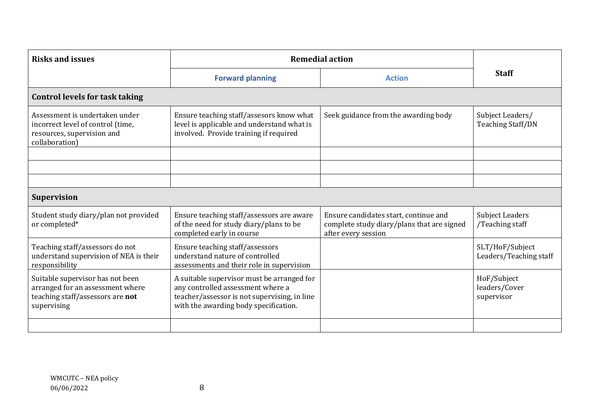| <b>Risks and issues</b>                                                                                                 | <b>Remedial action</b>                                                                                                                                                   |                                                                                                            |                                              |
|-------------------------------------------------------------------------------------------------------------------------|--------------------------------------------------------------------------------------------------------------------------------------------------------------------------|------------------------------------------------------------------------------------------------------------|----------------------------------------------|
|                                                                                                                         | <b>Forward planning</b>                                                                                                                                                  | <b>Action</b>                                                                                              | <b>Staff</b>                                 |
| <b>Control levels for task taking</b>                                                                                   |                                                                                                                                                                          |                                                                                                            |                                              |
| Assessment is undertaken under<br>incorrect level of control (time,<br>resources, supervision and<br>collaboration)     | Ensure teaching staff/assesors know what<br>level is applicable and understand what is<br>involved. Provide training if required                                         | Seek guidance from the awarding body                                                                       | Subject Leaders/<br><b>Teaching Staff/DN</b> |
|                                                                                                                         |                                                                                                                                                                          |                                                                                                            |                                              |
|                                                                                                                         |                                                                                                                                                                          |                                                                                                            |                                              |
| <b>Supervision</b>                                                                                                      |                                                                                                                                                                          |                                                                                                            |                                              |
| Student study diary/plan not provided<br>or completed*                                                                  | Ensure teaching staff/assessors are aware<br>of the need for study diary/plans to be<br>completed early in course                                                        | Ensure candidates start, continue and<br>complete study diary/plans that are signed<br>after every session | <b>Subject Leaders</b><br>/Teaching staff    |
| Teaching staff/assessors do not<br>understand supervision of NEA is their<br>responsibility                             | Ensure teaching staff/assessors<br>understand nature of controlled<br>assessments and their role in supervision                                                          |                                                                                                            | SLT/HoF/Subject<br>Leaders/Teaching staff    |
| Suitable supervisor has not been<br>arranged for an assessment where<br>teaching staff/assessors are not<br>supervising | A suitable supervisor must be arranged for<br>any controlled assessment where a<br>teacher/assessor is not supervising, in line<br>with the awarding body specification. |                                                                                                            | HoF/Subject<br>leaders/Cover<br>supervisor   |
|                                                                                                                         |                                                                                                                                                                          |                                                                                                            |                                              |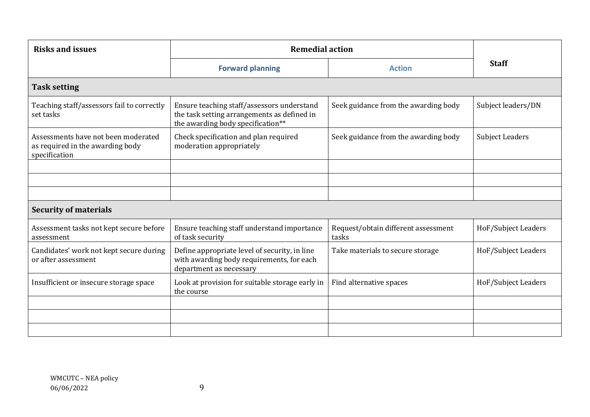| <b>Risks and issues</b>                                                                  | <b>Remedial action</b>                                                                                                         |                                              |                        |
|------------------------------------------------------------------------------------------|--------------------------------------------------------------------------------------------------------------------------------|----------------------------------------------|------------------------|
|                                                                                          | <b>Forward planning</b>                                                                                                        | <b>Action</b>                                | <b>Staff</b>           |
| <b>Task setting</b>                                                                      |                                                                                                                                |                                              |                        |
| Teaching staff/assessors fail to correctly<br>set tasks                                  | Ensure teaching staff/assessors understand<br>the task setting arrangements as defined in<br>the awarding body specification** | Seek guidance from the awarding body         | Subject leaders/DN     |
| Assessments have not been moderated<br>as required in the awarding body<br>specification | Check specification and plan required<br>moderation appropriately                                                              | Seek guidance from the awarding body         | <b>Subject Leaders</b> |
|                                                                                          |                                                                                                                                |                                              |                        |
|                                                                                          |                                                                                                                                |                                              |                        |
|                                                                                          |                                                                                                                                |                                              |                        |
| <b>Security of materials</b>                                                             |                                                                                                                                |                                              |                        |
| Assessment tasks not kept secure before<br>assessment                                    | Ensure teaching staff understand importance<br>of task security                                                                | Request/obtain different assessment<br>tasks | HoF/Subject Leaders    |
| Candidates' work not kept secure during<br>or after assessment                           | Define appropriate level of security, in line<br>with awarding body requirements, for each<br>department as necessary          | Take materials to secure storage             | HoF/Subject Leaders    |
| Insufficient or insecure storage space                                                   | Look at provision for suitable storage early in<br>the course                                                                  | Find alternative spaces                      | HoF/Subject Leaders    |
|                                                                                          |                                                                                                                                |                                              |                        |
|                                                                                          |                                                                                                                                |                                              |                        |
|                                                                                          |                                                                                                                                |                                              |                        |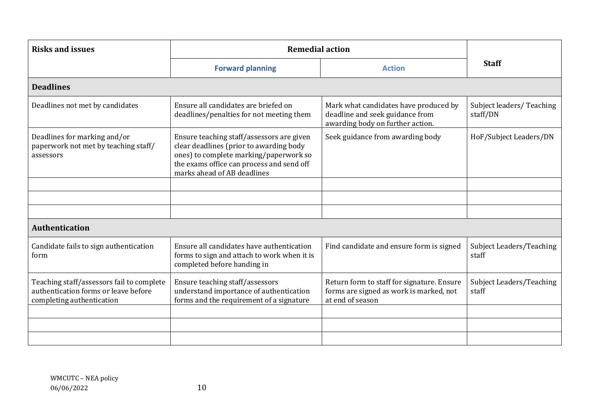| <b>Risks and issues</b>                                                                                        | <b>Remedial action</b>                                                                                                                                                                                     |                                                                                                              |                                          |
|----------------------------------------------------------------------------------------------------------------|------------------------------------------------------------------------------------------------------------------------------------------------------------------------------------------------------------|--------------------------------------------------------------------------------------------------------------|------------------------------------------|
|                                                                                                                | <b>Forward planning</b>                                                                                                                                                                                    | <b>Action</b>                                                                                                | <b>Staff</b>                             |
| <b>Deadlines</b>                                                                                               |                                                                                                                                                                                                            |                                                                                                              |                                          |
| Deadlines not met by candidates                                                                                | Ensure all candidates are briefed on<br>deadlines/penalties for not meeting them                                                                                                                           | Mark what candidates have produced by<br>deadline and seek guidance from<br>awarding body on further action. | Subject leaders/Teaching<br>staff/DN     |
| Deadlines for marking and/or<br>paperwork not met by teaching staff/<br>assessors                              | Ensure teaching staff/assessors are given<br>clear deadlines (prior to awarding body<br>ones) to complete marking/paperwork so<br>the exams office can process and send off<br>marks ahead of AB deadlines | Seek guidance from awarding body                                                                             | HoF/Subject Leaders/DN                   |
|                                                                                                                |                                                                                                                                                                                                            |                                                                                                              |                                          |
|                                                                                                                |                                                                                                                                                                                                            |                                                                                                              |                                          |
|                                                                                                                |                                                                                                                                                                                                            |                                                                                                              |                                          |
| <b>Authentication</b>                                                                                          |                                                                                                                                                                                                            |                                                                                                              |                                          |
| Candidate fails to sign authentication<br>form                                                                 | Ensure all candidates have authentication<br>forms to sign and attach to work when it is<br>completed before handing in                                                                                    | Find candidate and ensure form is signed                                                                     | Subject Leaders/Teaching<br>staff        |
| Teaching staff/assessors fail to complete<br>authentication forms or leave before<br>completing authentication | Ensure teaching staff/assessors<br>understand importance of authentication<br>forms and the requirement of a signature                                                                                     | Return form to staff for signature. Ensure<br>forms are signed as work is marked, not<br>at end of season    | <b>Subject Leaders/Teaching</b><br>staff |
|                                                                                                                |                                                                                                                                                                                                            |                                                                                                              |                                          |
|                                                                                                                |                                                                                                                                                                                                            |                                                                                                              |                                          |
|                                                                                                                |                                                                                                                                                                                                            |                                                                                                              |                                          |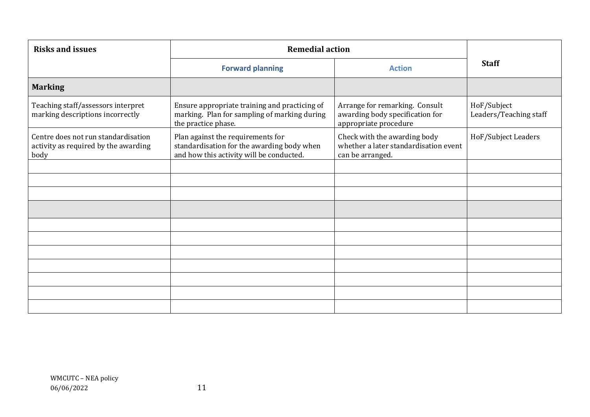| <b>Risks and issues</b>                                                             | <b>Remedial action</b>                                                                                                      |                                                                                            |                                       |
|-------------------------------------------------------------------------------------|-----------------------------------------------------------------------------------------------------------------------------|--------------------------------------------------------------------------------------------|---------------------------------------|
|                                                                                     | <b>Forward planning</b>                                                                                                     | <b>Action</b>                                                                              | <b>Staff</b>                          |
| <b>Marking</b>                                                                      |                                                                                                                             |                                                                                            |                                       |
| Teaching staff/assessors interpret<br>marking descriptions incorrectly              | Ensure appropriate training and practicing of<br>marking. Plan for sampling of marking during<br>the practice phase.        | Arrange for remarking. Consult<br>awarding body specification for<br>appropriate procedure | HoF/Subject<br>Leaders/Teaching staff |
| Centre does not run standardisation<br>activity as required by the awarding<br>body | Plan against the requirements for<br>standardisation for the awarding body when<br>and how this activity will be conducted. | Check with the awarding body<br>whether a later standardisation event<br>can be arranged.  | HoF/Subject Leaders                   |
|                                                                                     |                                                                                                                             |                                                                                            |                                       |
|                                                                                     |                                                                                                                             |                                                                                            |                                       |
|                                                                                     |                                                                                                                             |                                                                                            |                                       |
|                                                                                     |                                                                                                                             |                                                                                            |                                       |
|                                                                                     |                                                                                                                             |                                                                                            |                                       |
|                                                                                     |                                                                                                                             |                                                                                            |                                       |
|                                                                                     |                                                                                                                             |                                                                                            |                                       |
|                                                                                     |                                                                                                                             |                                                                                            |                                       |
|                                                                                     |                                                                                                                             |                                                                                            |                                       |
|                                                                                     |                                                                                                                             |                                                                                            |                                       |
|                                                                                     |                                                                                                                             |                                                                                            |                                       |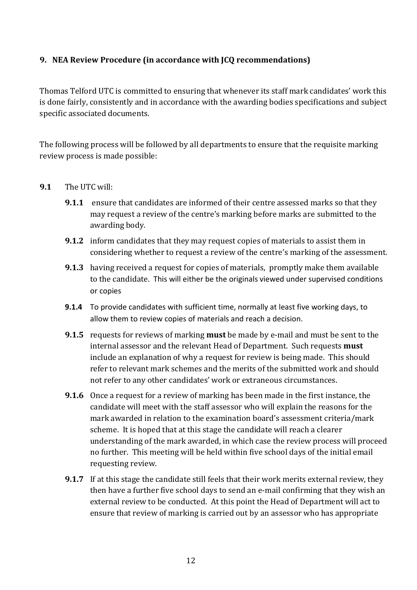# **9. NEA Review Procedure (in accordance with JCQ recommendations)**

Thomas Telford UTC is committed to ensuring that whenever its staff mark candidates' work this is done fairly, consistently and in accordance with the awarding bodies specifications and subject specific associated documents.

The following process will be followed by all departments to ensure that the requisite marking review process is made possible:

### **9.1** The UTC will:

- **9.1.1** ensure that candidates are informed of their centre assessed marks so that they may request a review of the centre's marking before marks are submitted to the awarding body.
- **9.1.2** inform candidates that they may request copies of materials to assist them in considering whether to request a review of the centre's marking of the assessment.
- **9.1.3** having received a request for copies of materials, promptly make them available to the candidate. This will either be the originals viewed under supervised conditions or copies
- **9.1.4** To provide candidates with sufficient time, normally at least five working days, to allow them to review copies of materials and reach a decision.
- **9.1.5** requests for reviews of marking **must** be made by e-mail and must be sent to the internal assessor and the relevant Head of Department. Such requests **must** include an explanation of why a request for review is being made. This should refer to relevant mark schemes and the merits of the submitted work and should not refer to any other candidates' work or extraneous circumstances.
- **9.1.6** Once a request for a review of marking has been made in the first instance, the candidate will meet with the staff assessor who will explain the reasons for the mark awarded in relation to the examination board's assessment criteria/mark scheme. It is hoped that at this stage the candidate will reach a clearer understanding of the mark awarded, in which case the review process will proceed no further. This meeting will be held within five school days of the initial email requesting review.
- **9.1.7** If at this stage the candidate still feels that their work merits external review, they then have a further five school days to send an e-mail confirming that they wish an external review to be conducted. At this point the Head of Department will act to ensure that review of marking is carried out by an assessor who has appropriate